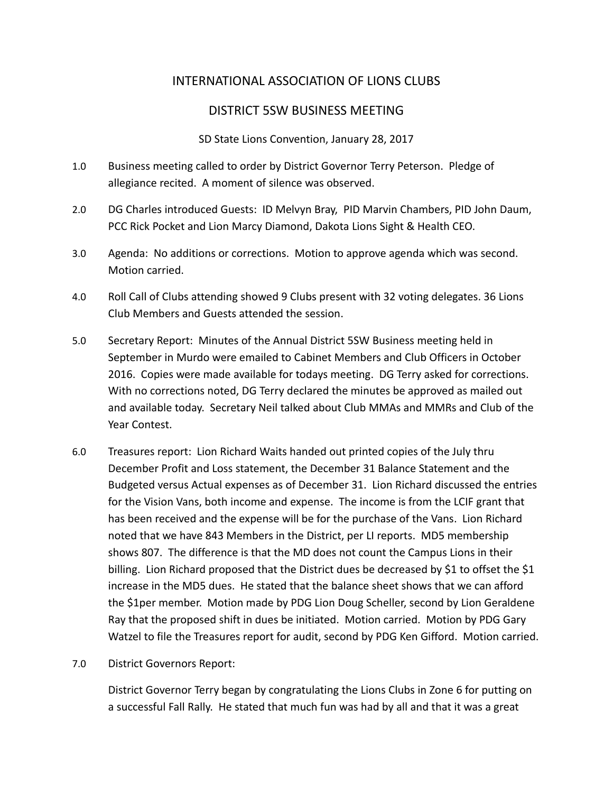# INTERNATIONAL ASSOCIATION OF LIONS CLUBS

## DISTRICT 5SW BUSINESS MEETING

SD State Lions Convention, January 28, 2017

- 1.0 Business meeting called to order by District Governor Terry Peterson. Pledge of allegiance recited. A moment of silence was observed.
- 2.0 DG Charles introduced Guests: ID Melvyn Bray, PID Marvin Chambers, PID John Daum, PCC Rick Pocket and Lion Marcy Diamond, Dakota Lions Sight & Health CEO.
- 3.0 Agenda: No additions or corrections. Motion to approve agenda which was second. Motion carried.
- 4.0 Roll Call of Clubs attending showed 9 Clubs present with 32 voting delegates. 36 Lions Club Members and Guests attended the session.
- 5.0 Secretary Report: Minutes of the Annual District 5SW Business meeting held in September in Murdo were emailed to Cabinet Members and Club Officers in October 2016. Copies were made available for todays meeting. DG Terry asked for corrections. With no corrections noted, DG Terry declared the minutes be approved as mailed out and available today. Secretary Neil talked about Club MMAs and MMRs and Club of the Year Contest.
- 6.0 Treasures report: Lion Richard Waits handed out printed copies of the July thru December Profit and Loss statement, the December 31 Balance Statement and the Budgeted versus Actual expenses as of December 31. Lion Richard discussed the entries for the Vision Vans, both income and expense. The income is from the LCIF grant that has been received and the expense will be for the purchase of the Vans. Lion Richard noted that we have 843 Members in the District, per LI reports. MD5 membership shows 807. The difference is that the MD does not count the Campus Lions in their billing. Lion Richard proposed that the District dues be decreased by \$1 to offset the \$1 increase in the MD5 dues. He stated that the balance sheet shows that we can afford the \$1per member. Motion made by PDG Lion Doug Scheller, second by Lion Geraldene Ray that the proposed shift in dues be initiated. Motion carried. Motion by PDG Gary Watzel to file the Treasures report for audit, second by PDG Ken Gifford. Motion carried.
- 7.0 District Governors Report:

District Governor Terry began by congratulating the Lions Clubs in Zone 6 for putting on a successful Fall Rally. He stated that much fun was had by all and that it was a great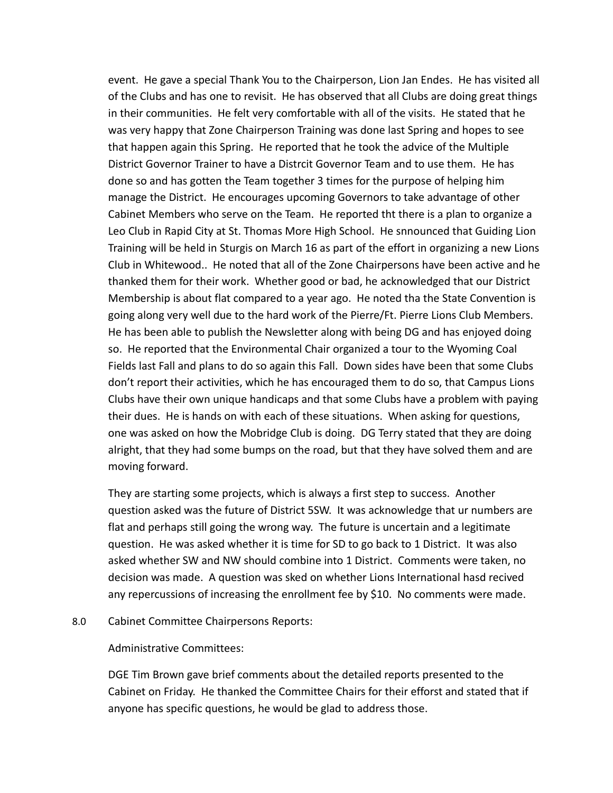event. He gave a special Thank You to the Chairperson, Lion Jan Endes. He has visited all of the Clubs and has one to revisit. He has observed that all Clubs are doing great things in their communities. He felt very comfortable with all of the visits. He stated that he was very happy that Zone Chairperson Training was done last Spring and hopes to see that happen again this Spring. He reported that he took the advice of the Multiple District Governor Trainer to have a Distrcit Governor Team and to use them. He has done so and has gotten the Team together 3 times for the purpose of helping him manage the District. He encourages upcoming Governors to take advantage of other Cabinet Members who serve on the Team. He reported tht there is a plan to organize a Leo Club in Rapid City at St. Thomas More High School. He snnounced that Guiding Lion Training will be held in Sturgis on March 16 as part of the effort in organizing a new Lions Club in Whitewood.. He noted that all of the Zone Chairpersons have been active and he thanked them for their work. Whether good or bad, he acknowledged that our District Membership is about flat compared to a year ago. He noted tha the State Convention is going along very well due to the hard work of the Pierre/Ft. Pierre Lions Club Members. He has been able to publish the Newsletter along with being DG and has enjoyed doing so. He reported that the Environmental Chair organized a tour to the Wyoming Coal Fields last Fall and plans to do so again this Fall. Down sides have been that some Clubs don't report their activities, which he has encouraged them to do so, that Campus Lions Clubs have their own unique handicaps and that some Clubs have a problem with paying their dues. He is hands on with each of these situations. When asking for questions, one was asked on how the Mobridge Club is doing. DG Terry stated that they are doing alright, that they had some bumps on the road, but that they have solved them and are moving forward.

They are starting some projects, which is always a first step to success. Another question asked was the future of District 5SW. It was acknowledge that ur numbers are flat and perhaps still going the wrong way. The future is uncertain and a legitimate question. He was asked whether it is time for SD to go back to 1 District. It was also asked whether SW and NW should combine into 1 District. Comments were taken, no decision was made. A question was sked on whether Lions International hasd recived any repercussions of increasing the enrollment fee by \$10. No comments were made.

8.0 Cabinet Committee Chairpersons Reports:

Administrative Committees:

DGE Tim Brown gave brief comments about the detailed reports presented to the Cabinet on Friday. He thanked the Committee Chairs for their efforst and stated that if anyone has specific questions, he would be glad to address those.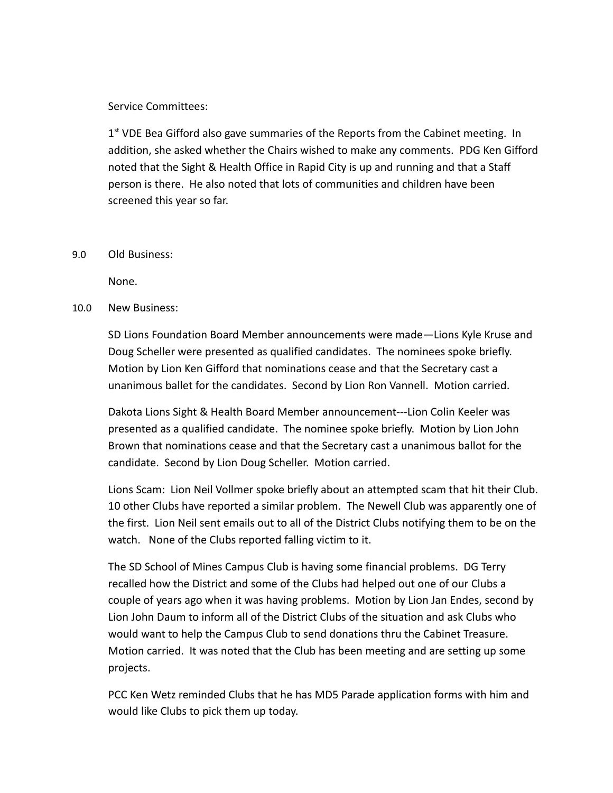### Service Committees:

1<sup>st</sup> VDE Bea Gifford also gave summaries of the Reports from the Cabinet meeting. In addition, she asked whether the Chairs wished to make any comments. PDG Ken Gifford noted that the Sight & Health Office in Rapid City is up and running and that a Staff person is there. He also noted that lots of communities and children have been screened this year so far.

#### 9.0 Old Business:

None.

### 10.0 New Business:

SD Lions Foundation Board Member announcements were made—Lions Kyle Kruse and Doug Scheller were presented as qualified candidates. The nominees spoke briefly. Motion by Lion Ken Gifford that nominations cease and that the Secretary cast a unanimous ballet for the candidates. Second by Lion Ron Vannell. Motion carried.

Dakota Lions Sight & Health Board Member announcement---Lion Colin Keeler was presented as a qualified candidate. The nominee spoke briefly. Motion by Lion John Brown that nominations cease and that the Secretary cast a unanimous ballot for the candidate. Second by Lion Doug Scheller. Motion carried.

Lions Scam: Lion Neil Vollmer spoke briefly about an attempted scam that hit their Club. 10 other Clubs have reported a similar problem. The Newell Club was apparently one of the first. Lion Neil sent emails out to all of the District Clubs notifying them to be on the watch. None of the Clubs reported falling victim to it.

The SD School of Mines Campus Club is having some financial problems. DG Terry recalled how the District and some of the Clubs had helped out one of our Clubs a couple of years ago when it was having problems. Motion by Lion Jan Endes, second by Lion John Daum to inform all of the District Clubs of the situation and ask Clubs who would want to help the Campus Club to send donations thru the Cabinet Treasure. Motion carried. It was noted that the Club has been meeting and are setting up some projects.

PCC Ken Wetz reminded Clubs that he has MD5 Parade application forms with him and would like Clubs to pick them up today.